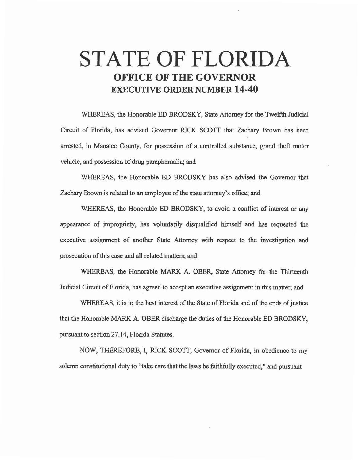## **STATE OF FLORIDA OFFICE OF THE GOVERNOR EXECUTIVE ORDER NUMBER 14-40**

WHEREAS, the Honorable ED BRODSKY, State Attorney for the Twelfth Judicial Circuit of Florida, has advised Governor RICK SCOTT that Zachary Brown has been arrested, in Manatee County, for possession of a controlled substance, grand theft motor vehicle, and possession of drug paraphernalia; and

WHEREAS, the Honorable ED BRODSKY has also advised the Governor that Zachary Brown is related to an employee of the state attorney's office; and

WHEREAS, the Honorable ED BRODSKY, to avoid a conflict of interest or any appearance of impropriety, has voluntarily disqualified himself and has requested the executive assignment of another State Attorney with respect to the investigation and prosecution of this case and all related matters; and

WHEREAS, the Honorable MARK A. OBER, State Attorney for the Thirteenth Judicial Circuit of Florida, has agreed to accept an executive assignment in this matter; and

WHEREAS, it is in the best interest of the State of Florida and of the ends of justice that the Honorable MARK A. OBER discharge the duties of the Honorable ED BRODSKY, pursuant to section 27.14, Florida Statutes.

NOW, THEREFORE, I, RICK SCOTT, Governor of Florida, in obedience to my solemn constitutional duty to "take care that the laws be faithfully executed," and pursuant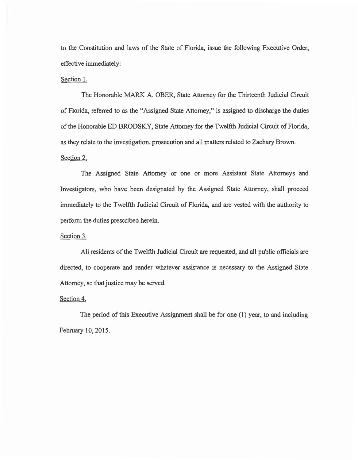to the Constitution and laws of the State of Florida, issue the following Executive Order, effective immediately:

## Section 1.

The Honorable MARK A. OBER, State Attorney for the Thirteenth Judicial Circuit of Florida, referred to as the "Assigned State Attorney," is assigned to discharge the duties of the Honorable ED BRODSKY, State Attorney for the Twelfth Judicial Circuit of Florida, as they relate to the investigation, prosecution and all matters related to Zachary Brown. Section 2.

The Assigned State Attorney or one or more Assistant State Attorneys and Investigators, who have been designated by the Assigned State Attorney, shall proceed immediately to the Twelfth Judicial Circuit of Florida, and are vested with the authority to perform the duties prescribed herein.

## Section 3.

All residents of the Twelfth Judicial Circuit are requested, and all public officials are directed, to cooperate and render whatever assistance is necessary to the Assigned State Attorney, so that justice may be served.

## Section 4.

The period of this Executive Assignment shall be for one (1) year, to and including February 10,2015.